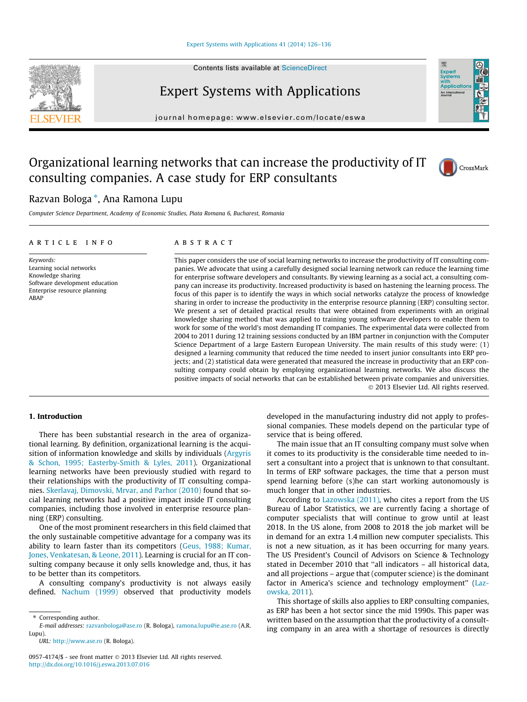#### [Expert Systems with Applications 41 \(2014\) 126–136](http://dx.doi.org/10.1016/j.eswa.2013.07.016)

Contents lists available at [ScienceDirect](http://www.sciencedirect.com/science/journal/09574174)

Expert Systems with Applications

journal homepage: [www.elsevier.com/locate/eswa](http://www.elsevier.com/locate/eswa)

## Organizational learning networks that can increase the productivity of IT consulting companies. A case study for ERP consultants

### Razvan Bologa \*, Ana Ramona Lupu

Computer Science Department, Academy of Economic Studies, Piata Romana 6, Bucharest, Romania

#### article info

Keywords: Learning social networks Knowledge sharing Software development education Enterprise resource planning ABAP

#### ABSTRACT

This paper considers the use of social learning networks to increase the productivity of IT consulting companies. We advocate that using a carefully designed social learning network can reduce the learning time for enterprise software developers and consultants. By viewing learning as a social act, a consulting company can increase its productivity. Increased productivity is based on hastening the learning process. The focus of this paper is to identify the ways in which social networks catalyze the process of knowledge sharing in order to increase the productivity in the enterprise resource planning (ERP) consulting sector. We present a set of detailed practical results that were obtained from experiments with an original knowledge sharing method that was applied to training young software developers to enable them to work for some of the world's most demanding IT companies. The experimental data were collected from 2004 to 2011 during 12 training sessions conducted by an IBM partner in conjunction with the Computer Science Department of a large Eastern European University. The main results of this study were: (1) designed a learning community that reduced the time needed to insert junior consultants into ERP projects; and (2) statistical data were generated that measured the increase in productivity that an ERP consulting company could obtain by employing organizational learning networks. We also discuss the positive impacts of social networks that can be established between private companies and universities. - 2013 Elsevier Ltd. All rights reserved.

#### 1. Introduction

There has been substantial research in the area of organizational learning. By definition, organizational learning is the acquisition of information knowledge and skills by individuals ([Argyris](#page--1-0) [& Schon, 1995; Easterby-Smith & Lyles, 2011](#page--1-0)). Organizational learning networks have been previously studied with regard to their relationships with the productivity of IT consulting companies. [Skerlavaj, Dimovski, Mrvar, and Parhor \(2010\)](#page--1-0) found that social learning networks had a positive impact inside IT consulting companies, including those involved in enterprise resource planning (ERP) consulting.

One of the most prominent researchers in this field claimed that the only sustainable competitive advantage for a company was its ability to learn faster than its competitors [\(Geus, 1988; Kumar,](#page--1-0) [Jones, Venkatesan, & Leone, 2011\)](#page--1-0). Learning is crucial for an IT consulting company because it only sells knowledge and, thus, it has to be better than its competitors.

A consulting company's productivity is not always easily defined. [Nachum \(1999\)](#page--1-0) observed that productivity models developed in the manufacturing industry did not apply to professional companies. These models depend on the particular type of service that is being offered.

The main issue that an IT consulting company must solve when it comes to its productivity is the considerable time needed to insert a consultant into a project that is unknown to that consultant. In terms of ERP software packages, the time that a person must spend learning before (s)he can start working autonomously is much longer that in other industries.

According to [Lazowska \(2011\),](#page--1-0) who cites a report from the US Bureau of Labor Statistics, we are currently facing a shortage of computer specialists that will continue to grow until at least 2018. In the US alone, from 2008 to 2018 the job market will be in demand for an extra 1.4 million new computer specialists. This is not a new situation, as it has been occurring for many years. The US President's Council of Advisors on Science & Technology stated in December 2010 that ''all indicators – all historical data, and all projections – argue that (computer science) is the dominant factor in America's science and technology employment" ([Laz](#page--1-0)[owska, 2011](#page--1-0)).

This shortage of skills also applies to ERP consulting companies, as ERP has been a hot sector since the mid 1990s. This paper was written based on the assumption that the productivity of a consulting company in an area with a shortage of resources is directly





Expert<br>System with<br>Application An Internati

<sup>⇑</sup> Corresponding author.

E-mail addresses: [razvanbologa@ase.ro](mailto:razvanbologa@ase.ro) (R. Bologa), [ramona.lupu@ie.ase.ro](mailto:ramona.lupu@ie.ase.ro) (A.R. Lupu).

URL: <http://www.ase.ro> (R. Bologa).

<sup>0957-4174/\$ -</sup> see front matter © 2013 Elsevier Ltd. All rights reserved. <http://dx.doi.org/10.1016/j.eswa.2013.07.016>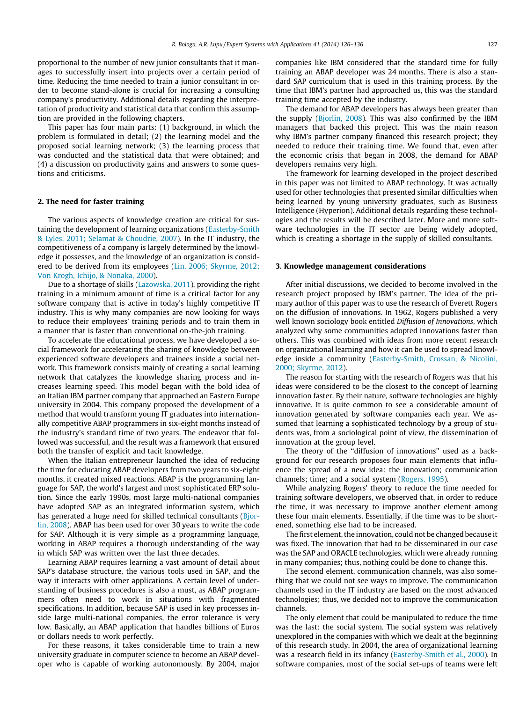proportional to the number of new junior consultants that it manages to successfully insert into projects over a certain period of time. Reducing the time needed to train a junior consultant in order to become stand-alone is crucial for increasing a consulting company's productivity. Additional details regarding the interpretation of productivity and statistical data that confirm this assumption are provided in the following chapters.

This paper has four main parts: (1) background, in which the problem is formulated in detail; (2) the learning model and the proposed social learning network; (3) the learning process that was conducted and the statistical data that were obtained; and (4) a discussion on productivity gains and answers to some questions and criticisms.

#### 2. The need for faster training

The various aspects of knowledge creation are critical for sustaining the development of learning organizations ([Easterby-Smith](#page--1-0) [& Lyles, 2011; Selamat & Choudrie, 2007](#page--1-0)). In the IT industry, the competitiveness of a company is largely determined by the knowledge it possesses, and the knowledge of an organization is considered to be derived from its employees ([Lin, 2006; Skyrme, 2012;](#page--1-0) [Von Krogh, Ichijo, & Nonaka, 2000\)](#page--1-0).

Due to a shortage of skills [\(Lazowska, 2011\)](#page--1-0), providing the right training in a minimum amount of time is a critical factor for any software company that is active in today's highly competitive IT industry. This is why many companies are now looking for ways to reduce their employees' training periods and to train them in a manner that is faster than conventional on-the-job training.

To accelerate the educational process, we have developed a social framework for accelerating the sharing of knowledge between experienced software developers and trainees inside a social network. This framework consists mainly of creating a social learning network that catalyzes the knowledge sharing process and increases learning speed. This model began with the bold idea of an Italian IBM partner company that approached an Eastern Europe university in 2004. This company proposed the development of a method that would transform young IT graduates into internationally competitive ABAP programmers in six-eight months instead of the industry's standard time of two years. The endeavor that followed was successful, and the result was a framework that ensured both the transfer of explicit and tacit knowledge.

When the Italian entrepreneur launched the idea of reducing the time for educating ABAP developers from two years to six-eight months, it created mixed reactions. ABAP is the programming language for SAP, the world's largest and most sophisticated ERP solution. Since the early 1990s, most large multi-national companies have adopted SAP as an integrated information system, which has generated a huge need for skilled technical consultants ([Bjor](#page--1-0)[lin, 2008\)](#page--1-0). ABAP has been used for over 30 years to write the code for SAP. Although it is very simple as a programming language, working in ABAP requires a thorough understanding of the way in which SAP was written over the last three decades.

Learning ABAP requires learning a vast amount of detail about SAP's database structure, the various tools used in SAP, and the way it interacts with other applications. A certain level of understanding of business procedures is also a must, as ABAP programmers often need to work in situations with fragmented specifications. In addition, because SAP is used in key processes inside large multi-national companies, the error tolerance is very low. Basically, an ABAP application that handles billions of Euros or dollars needs to work perfectly.

For these reasons, it takes considerable time to train a new university graduate in computer science to become an ABAP developer who is capable of working autonomously. By 2004, major companies like IBM considered that the standard time for fully training an ABAP developer was 24 months. There is also a standard SAP curriculum that is used in this training process. By the time that IBM's partner had approached us, this was the standard training time accepted by the industry.

The demand for ABAP developers has always been greater than the supply ([Bjorlin, 2008\)](#page--1-0). This was also confirmed by the IBM managers that backed this project. This was the main reason why IBM's partner company financed this research project; they needed to reduce their training time. We found that, even after the economic crisis that began in 2008, the demand for ABAP developers remains very high.

The framework for learning developed in the project described in this paper was not limited to ABAP technology. It was actually used for other technologies that presented similar difficulties when being learned by young university graduates, such as Business Intelligence (Hyperion). Additional details regarding these technologies and the results will be described later. More and more software technologies in the IT sector are being widely adopted, which is creating a shortage in the supply of skilled consultants.

#### 3. Knowledge management considerations

After initial discussions, we decided to become involved in the research project proposed by IBM's partner. The idea of the primary author of this paper was to use the research of Everett Rogers on the diffusion of innovations. In 1962, Rogers published a very well known sociology book entitled Diffusion of Innovations, which analyzed why some communities adopted innovations faster than others. This was combined with ideas from more recent research on organizational learning and how it can be used to spread knowledge inside a community ([Easterby-Smith, Crossan, & Nicolini,](#page--1-0) [2000; Skyrme, 2012\)](#page--1-0).

The reason for starting with the research of Rogers was that his ideas were considered to be the closest to the concept of learning innovation faster. By their nature, software technologies are highly innovative. It is quite common to see a considerable amount of innovation generated by software companies each year. We assumed that learning a sophisticated technology by a group of students was, from a sociological point of view, the dissemination of innovation at the group level.

The theory of the ''diffusion of innovations'' used as a background for our research proposes four main elements that influence the spread of a new idea: the innovation; communication channels; time; and a social system [\(Rogers, 1995](#page--1-0)).

While analyzing Rogers' theory to reduce the time needed for training software developers, we observed that, in order to reduce the time, it was necessary to improve another element among these four main elements. Essentially, if the time was to be shortened, something else had to be increased.

The first element, the innovation, could not be changed because it was fixed. The innovation that had to be disseminated in our case was the SAP and ORACLE technologies, which were already running in many companies; thus, nothing could be done to change this.

The second element, communication channels, was also something that we could not see ways to improve. The communication channels used in the IT industry are based on the most advanced technologies; thus, we decided not to improve the communication channels.

The only element that could be manipulated to reduce the time was the last: the social system. The social system was relatively unexplored in the companies with which we dealt at the beginning of this research study. In 2004, the area of organizational learning was a research field in its infancy ([Easterby-Smith et al., 2000\)](#page--1-0). In software companies, most of the social set-ups of teams were left